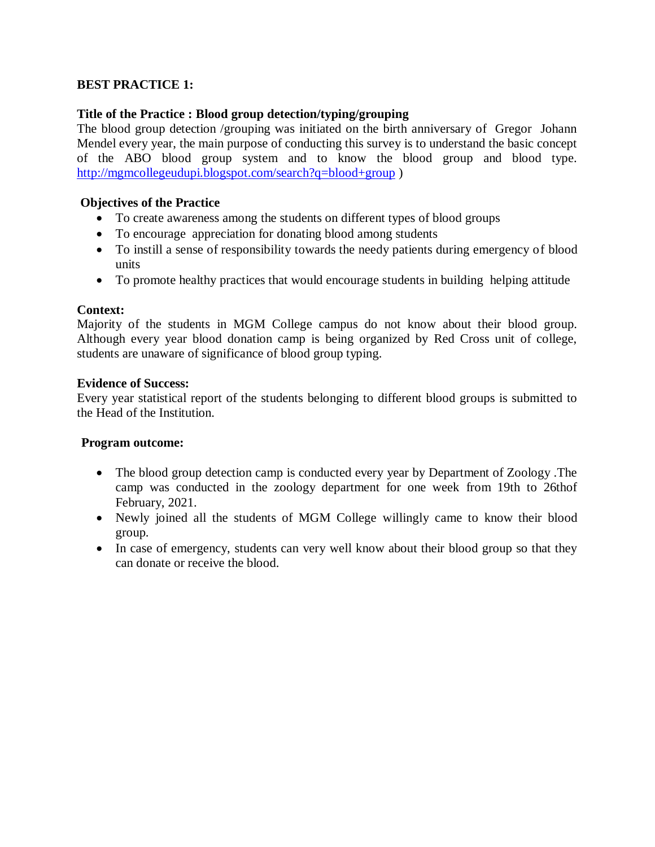# **BEST PRACTICE 1:**

## **Title of the Practice : Blood group detection/typing/grouping**

The blood group detection /grouping was initiated on the birth anniversary of Gregor Johann Mendel every year, the main purpose of conducting this survey is to understand the basic concept of the ABO blood group system and to know the blood group and blood type. <http://mgmcollegeudupi.blogspot.com/search?q=blood+group> )

#### **Objectives of the Practice**

- To create awareness among the students on different types of blood groups
- To encourage appreciation for donating blood among students
- To instill a sense of responsibility towards the needy patients during emergency of blood units
- To promote healthy practices that would encourage students in building helping attitude

### **Context:**

Majority of the students in MGM College campus do not know about their blood group. Although every year blood donation camp is being organized by Red Cross unit of college, students are unaware of significance of blood group typing.

#### **Evidence of Success:**

Every year statistical report of the students belonging to different blood groups is submitted to the Head of the Institution.

#### **Program outcome:**

- The blood group detection camp is conducted every year by Department of Zoology. The camp was conducted in the zoology department for one week from 19th to 26thof February, 2021.
- Newly joined all the students of MGM College willingly came to know their blood group.
- In case of emergency, students can very well know about their blood group so that they can donate or receive the blood.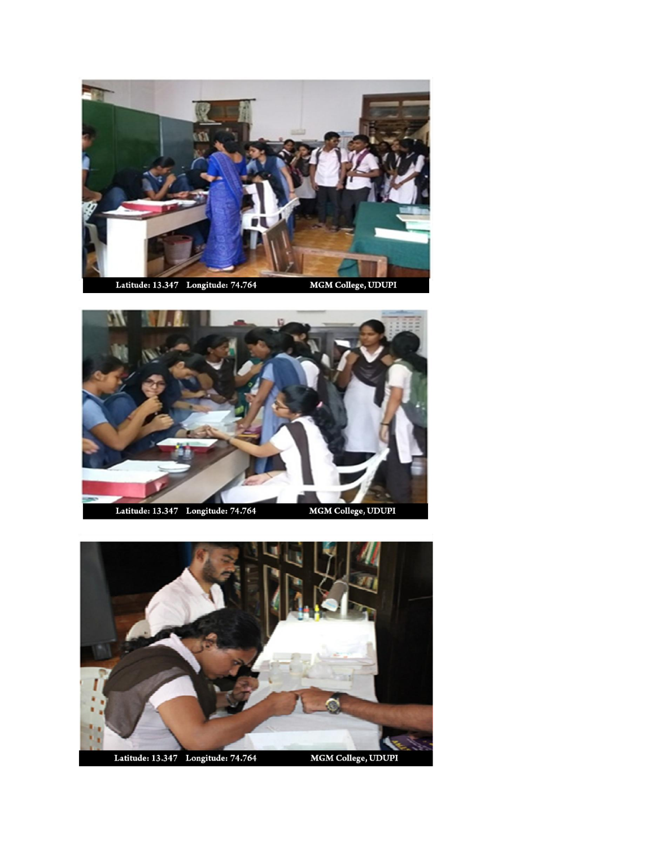



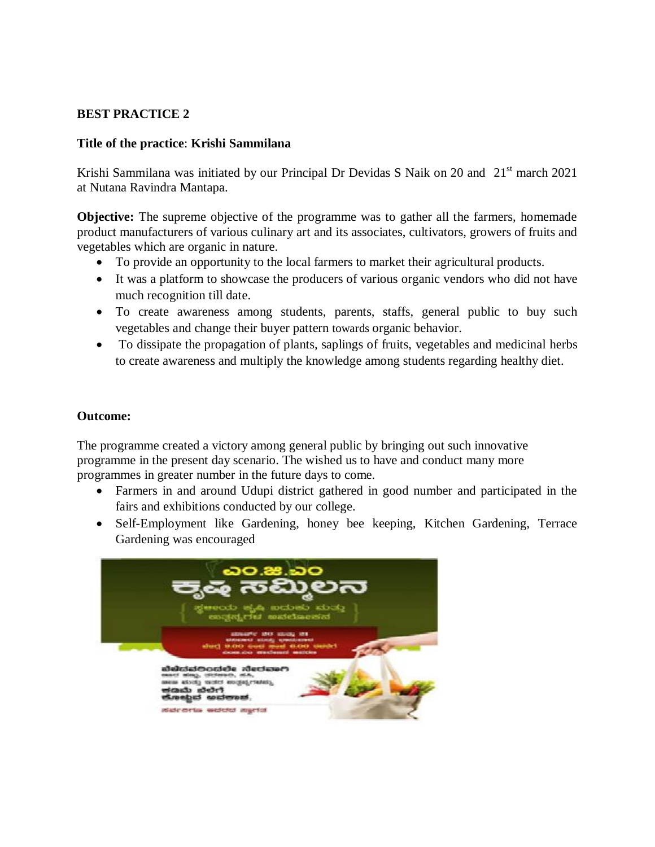## **BEST PRACTICE 2**

#### **Title of the practice**: **Krishi Sammilana**

Krishi Sammilana was initiated by our Principal Dr Devidas S Naik on 20 and 21<sup>st</sup> march 2021 at Nutana Ravindra Mantapa.

**Objective:** The supreme objective of the programme was to gather all the farmers, homemade product manufacturers of various culinary art and its associates, cultivators, growers of fruits and vegetables which are organic in nature.

- To provide an opportunity to the local farmers to market their agricultural products.
- It was a platform to showcase the producers of various organic vendors who did not have much recognition till date.
- To create awareness among students, parents, staffs, general public to buy such vegetables and change their buyer pattern towards organic behavior.
- To dissipate the propagation of plants, saplings of fruits, vegetables and medicinal herbs to create awareness and multiply the knowledge among students regarding healthy diet.

### **Outcome:**

The programme created a victory among general public by bringing out such innovative programme in the present day scenario. The wished us to have and conduct many more programmes in greater number in the future days to come.

- Farmers in and around Udupi district gathered in good number and participated in the fairs and exhibitions conducted by our college.
- Self-Employment like Gardening, honey bee keeping, Kitchen Gardening, Terrace Gardening was encouraged